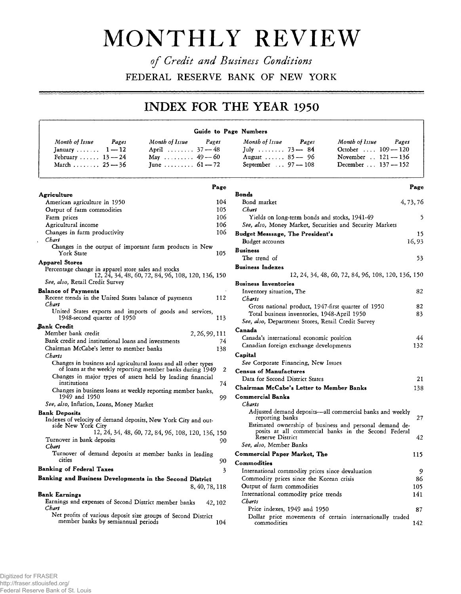## **MONTHLY REVIEW**

*of Credit and Business Conditions* **FEDERAL RESERVE BANK OF NEW YORK**

## **INDEX FOR THE YEAR 1950**

## **Guide to Page Numbers**

**Page**

| Month of Issue<br>Pages | Month of Issue<br>Pages |
|-------------------------|-------------------------|
| January $1-12$          | April $37 - 48$         |
| February $13 - 24$      | May $49-60$             |
| March $25 - 36$         | June $61 - 72$          |

|                                                                                                                             | rage    |
|-----------------------------------------------------------------------------------------------------------------------------|---------|
| Agriculture                                                                                                                 |         |
| American agriculture in 1950                                                                                                | 104     |
| Output of farm commodities                                                                                                  | 105     |
| Farm prices                                                                                                                 | 106     |
| Agricultural income                                                                                                         | 106     |
| Changes in farm productivity                                                                                                | 106     |
| Chart<br>x                                                                                                                  |         |
| Changes in the output of important farm products in New<br>York State                                                       | 105     |
| <b>Apparel Stores</b>                                                                                                       |         |
| Percentage change in apparel store sales and stocks<br>12, 24, 34, 48, 60, 72, 84, 96, 108, 120, 136, 150                   |         |
| See, also, Retail Credit Survey                                                                                             |         |
| <b>Balance of Payments</b>                                                                                                  |         |
| Recent trends in the United States balance of payments<br>Chart                                                             | 112     |
| United States exports and imports of goods and services,                                                                    |         |
| 1948-second quarter of 1950                                                                                                 | 113     |
| Bank Credit                                                                                                                 |         |
| Member bank credit<br>2, 26, 99, 111                                                                                        |         |
| Bank credit and institutional loans and investments                                                                         | 74      |
| Chairman McCabe's letter to member banks<br>Charts                                                                          | 138     |
| Changes in business and agricultural loans and all other types<br>of loans at the weekly reporting member banks during 1949 | 2       |
| Changes in major types of assets held by leading financial<br>institutions                                                  | 74      |
| Changes in business loans at weekly reporting member banks,<br>1949 and 1950                                                | 99      |
| See, also, Inflation, Loans, Money Market                                                                                   |         |
| <b>Bank Deposits</b>                                                                                                        |         |
| Indexes of velocity of demand deposits, New York City and out-<br>side New York City                                        |         |
| 12, 24, 34, 48, 60, 72, 84, 96, 108, 120, 136, 150                                                                          |         |
| Turnover in bank deposits<br>Chart                                                                                          | 90      |
| Turnover of demand deposits at member banks in leading<br>cities                                                            | 90      |
| <b>Banking of Federal Taxes</b>                                                                                             | 3       |
| Banking and Business Developments in the Second District                                                                    |         |
|                                                                                                                             |         |
| 8, 40, 78, 118                                                                                                              |         |
| Bank Earnings                                                                                                               |         |
| Earnings and expenses of Second District member banks<br>Chart                                                              | 42, 102 |
| Net profits of various deposit size groups of Second District<br>member banks by semiannual periods                         | 104     |

|                                                                                                                 | Page      |
|-----------------------------------------------------------------------------------------------------------------|-----------|
| <b>Bonds</b>                                                                                                    |           |
| Bond market                                                                                                     | 4, 73, 76 |
| Chart                                                                                                           |           |
| Yields on long-term bonds and stocks, 1941-49<br>See, also, Money Market, Securities and Security Markets       | 5         |
|                                                                                                                 |           |
| <b>Budget Messsage, The President's</b>                                                                         | 15        |
| Budget accounts                                                                                                 | 16,93     |
| <b>Business</b><br>The trend of                                                                                 | 53        |
| <b>Business Indexes</b>                                                                                         |           |
| 12, 24, 34, 48, 60, 72, 84, 96, 108, 120, 136, 150                                                              |           |
| <b>Business Inventories</b>                                                                                     |           |
| Inventory situation, The                                                                                        | 82        |
| Charts                                                                                                          |           |
| Gross national product, 1947-first quarter of 1950                                                              | 82        |
| Total business inventories, 1948-April 1950                                                                     | 83        |
| See, also, Department Stores, Retail Credit Survey                                                              |           |
| Canada                                                                                                          |           |
| Canada's international economic position                                                                        | 44        |
| Canadian foreign exchange developments                                                                          | 132       |
| Capital                                                                                                         |           |
| See Corporate Financing, New Issues                                                                             |           |
| <b>Census of Manufactures</b>                                                                                   |           |
| Data for Second District States                                                                                 | 21        |
| Chairman McCabe's Letter to Member Banks                                                                        | 138       |
| <b>Commercial Banks</b>                                                                                         |           |
| <b>Charts</b>                                                                                                   |           |
| Adjusted demand deposits—all commercial banks and weekly                                                        |           |
| reporting banks                                                                                                 | 27        |
| Estimated ownership of business and personal demand de-<br>posits at all commercial banks in the Second Federal |           |
| <b>Reserve District</b>                                                                                         | 42        |
| See, also, Member Banks                                                                                         |           |
| <b>Commercial Paper Market, The</b>                                                                             | 115       |
| Commodities                                                                                                     |           |
| International commodity prices since devaluation                                                                | 9         |
| Commodity prices since the Korean crisis                                                                        | 86        |
| Output of farm commodities                                                                                      | 105       |
| International commodity price trends                                                                            | 141       |
| Charts                                                                                                          |           |
| Price indexes, 1949 and 1950                                                                                    | 87        |
| Dollar price movements of certain internationally traded<br>commodities                                         | 142       |

*Month of Issue Pages Month of Issue Pages Month of Issue Pages Month of Issue Pages*

 $September \dots 97 - 108$  December  $\dots 137 - 152$ 

August........  $85 - 96$ 

**October .... 109 — 120**<br>November .. **121 — 136**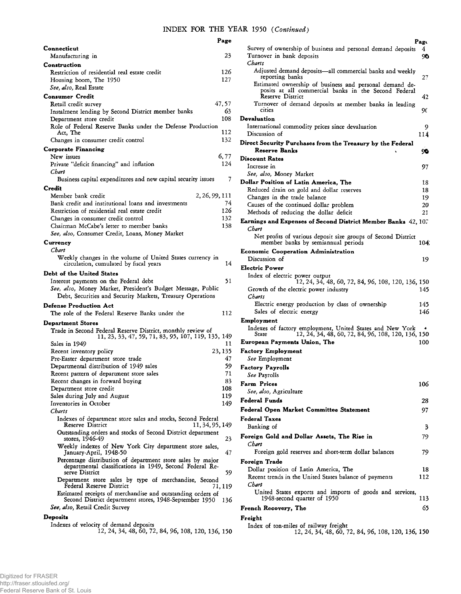|                                                                                                            | Page    |
|------------------------------------------------------------------------------------------------------------|---------|
| Connecticut                                                                                                |         |
| Manufacturing in                                                                                           | 23      |
| Construction                                                                                               |         |
| Restriction of residential real estate credit                                                              | 126     |
| Housing boom, The 1950                                                                                     | 127     |
| See, also, Real Estate                                                                                     |         |
| <b>Consumer Credit</b>                                                                                     |         |
| Retail credit survey                                                                                       | 47,57   |
| Instalment lending by Second District member banks                                                         | 63      |
| Department store credit                                                                                    | 108     |
| Role of Federal Reserve Banks under the Defense Production                                                 |         |
| Act. The                                                                                                   | 112     |
| Changes in consumer credit control                                                                         | 132     |
| Corporate Financing                                                                                        |         |
| New issues                                                                                                 | 6,77    |
| Private "deficit financing" and inflation                                                                  | 124     |
| Chart                                                                                                      |         |
| Business capital expenditures and new capital security issues                                              | 7       |
| Credit                                                                                                     |         |
| Member bank credit<br>2, 26, 99, 111                                                                       |         |
| Bank credit and institutional loans and investments                                                        | 74      |
| Restriction of residential real estate credit                                                              | 126     |
| Changes in consumer credit control                                                                         | 132     |
| Chairman McCabe's letter to member banks                                                                   | 138     |
| See, also, Consumer Credit, Loans, Money Market                                                            |         |
| Currency                                                                                                   |         |
| Chart                                                                                                      |         |
| Weekly changes in the volume of United States currency in                                                  |         |
| circulation, cumulated by fiscal years                                                                     | 14      |
| Debt of the United States                                                                                  |         |
| Interest payments on the Federal debt                                                                      | 51      |
| See, also, Money Market, President's Budget Message, Public                                                |         |
| Debt, Securities and Security Markets, Treasury Operations                                                 |         |
|                                                                                                            |         |
| <b>Defense Production Act</b>                                                                              |         |
| The role of the Federal Reserve Banks under the                                                            | 112     |
| <b>Department Stores</b>                                                                                   |         |
| Trade in Second Federal Reserve District, monthly review of                                                |         |
| 11, 23, 33, 47, 59, 71, 83, 95, 107, 119, 135, 149                                                         |         |
| Sales in 1949                                                                                              | 11      |
| Recent inventory policy                                                                                    | 23, 135 |
| Pre-Easter department store trade                                                                          | 47      |
| Departmental distribution of 1949 sales                                                                    | 59      |
| Recent pattern of department store sales                                                                   | 71      |
| Recent changes in forward buying                                                                           | 83      |
| Department store credit                                                                                    | 108     |
| Sales during July and August                                                                               | 119     |
| Inventories in October                                                                                     | 149     |
| Charts                                                                                                     |         |
| Indexes of department store sales and stocks, Second Federal<br><b>Reserve District</b><br>11, 34, 95, 149 |         |
| Outstanding orders and stocks of Second District department                                                |         |
| stores, 1946-49                                                                                            | 23      |
| Weekly indexes of New York City department store sales,                                                    |         |
| January-April, 1948-50                                                                                     | 47      |
| Percentage distribution of department store sales by major                                                 |         |
| departmental classifications in 1949, Second Federal Re-                                                   |         |
| serve District                                                                                             | 59      |
| Department store sales by type of merchandise, Second<br>Federal Reserve District                          | 71, 119 |
| Estimated receipts of merchandise and outstanding orders of                                                |         |
| Second District department stores, 1948-September 1950                                                     | 136     |
| See, also, Retail Credit Survey                                                                            |         |
| Deposits                                                                                                   |         |
| Indexes of velocity of demand deposits                                                                     |         |
| 12, 24, 34, 48, 60, 72, 84, 96, 108, 120, 136, 150                                                         |         |

| Survey of ownership of business and personal demand deposits<br>Turnover in bank deposits<br>Charts                                        | Page<br>4<br>90 |
|--------------------------------------------------------------------------------------------------------------------------------------------|-----------------|
| Adjusted demand deposits-all commercial banks and weekly<br>reporting banks                                                                | 27              |
| Estimated ownership of business and personal demand de-<br>posits at all commercial banks in the Second Federal<br><b>Reserve District</b> | 42              |
| Turnover of demand deposits at member banks in leading<br>cities                                                                           | 90              |
| <b>Devaluation</b><br>International commodity prices since devaluation                                                                     | 9               |
| Discussion of                                                                                                                              | 114             |
| Direct Security Purchases from the Treasury by the Federal<br><b>Reserve Banks</b>                                                         | 90              |
| <b>Discount Rates</b>                                                                                                                      |                 |
| Increase in                                                                                                                                | 97              |
| See, also, Money Market                                                                                                                    |                 |
| Dollar Position of Latin America, The                                                                                                      | 18              |
| Reduced drain on gold and dollar reserves                                                                                                  | 18              |
| Changes in the trade balance                                                                                                               | 19              |
| Causes of the continued dollar problem<br>Methods of reducing the dollar deficit                                                           | 20<br>21        |
| Earnings and Expenses of Second District Member Banks 42, 107                                                                              |                 |
| Chart                                                                                                                                      |                 |
| Net profits of various deposit size groups of Second District<br>member banks by semiannual periods                                        | 104.            |
| <b>Economic Cooperation Administration</b>                                                                                                 |                 |
| Discussion of                                                                                                                              | 19              |
| Electric Power                                                                                                                             |                 |
| Index of electric power output<br>12, 24, 34, 48, 60, 72, 84, 96, 108, 120, 136, 150<br>Growth of the electric power industry              | 145             |
| Charts<br>Electric energy production by class of ownership<br>Sales of electric energy                                                     | 145<br>146      |
| Employment                                                                                                                                 |                 |
| Indexes of factory employment, United States and New York<br>12, 24, 34, 48, 60, 72, 84, 96, 108, 120, 136, 150<br>State                   |                 |
| European Payments Union, The                                                                                                               | 100             |
| <b>Factory Employment</b><br>See Employment                                                                                                |                 |
| Factory Payrolls                                                                                                                           |                 |
| See Payrolls                                                                                                                               |                 |
| Farm Prices                                                                                                                                | 106             |
| See, also, Agriculture                                                                                                                     |                 |
| Federal Funds                                                                                                                              | 28              |
| Federal Open Market Committee Statement                                                                                                    | 97              |
| <b>Federal Taxes</b><br>Banking of                                                                                                         | 3               |
| Foreign Gold and Dollar Assets, The Rise in<br>Chart                                                                                       | 79              |
| Foreign gold reserves and short-term dollar balances                                                                                       | 79              |
| Foreign Trade                                                                                                                              |                 |
| Dollar position of Latin America, The<br>Recent trends in the United States balance of payments<br>Chart                                   | 18<br>112       |
| United States exports and imports of goods and services,<br>1948-second quarter of 1950                                                    | 113             |
| French Recovery, The                                                                                                                       | 65              |
| Freight                                                                                                                                    |                 |
| Index of ton-miles of railway freight<br>12, 24, 34, 48, 60, 72, 84, 96, 108, 120, 136, 150                                                |                 |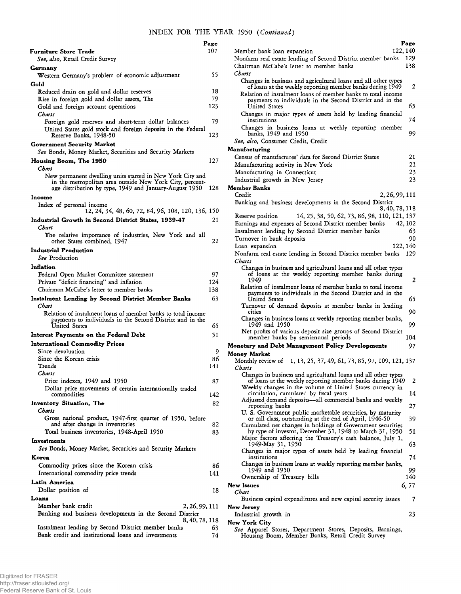|                                                                                                                                                                                 | Page      |
|---------------------------------------------------------------------------------------------------------------------------------------------------------------------------------|-----------|
| Furniture Store Trade                                                                                                                                                           | 107       |
| See, also, Retail Credit Survey                                                                                                                                                 |           |
| Germany                                                                                                                                                                         |           |
| Western Germany's problem of economic adjustment                                                                                                                                | 55        |
| Gold<br>Reduced drain on gold and dollar reserves                                                                                                                               | 18        |
| Rise in foreign gold and dollar assets, The                                                                                                                                     | 79        |
| Gold and foreign account operations                                                                                                                                             | 123       |
| Charts                                                                                                                                                                          |           |
| Foreign gold reserves and short-term dollar balances                                                                                                                            | 79        |
| United States gold stock and foreign deposits in the Federal<br>Reserve Banks, 1948-50                                                                                          | 123       |
| Government Security Market<br>See Bonds, Money Market, Securities and Security Markets                                                                                          |           |
| Housing Boom, The 1950                                                                                                                                                          | 127       |
| Chart                                                                                                                                                                           |           |
| New permanent dwelling units started in New York City and<br>in the metropolitan area outside New York City, percent-<br>age distribution by type, 1949 and January-August 1950 | 128       |
| Income                                                                                                                                                                          |           |
| Index of personal income<br>12, 24, 34, 48, 60, 72, 84, 96, 108, 120, 136, 150                                                                                                  |           |
| Industrial Growth in Second District States, 1939-47                                                                                                                            | 21        |
| Chart                                                                                                                                                                           |           |
| The relative importance of industries, New York and all<br>other States combined, 1947                                                                                          | 22        |
| <b>Industrial Production</b>                                                                                                                                                    |           |
| See Production                                                                                                                                                                  |           |
| Inflation                                                                                                                                                                       |           |
| Federal Open Market Committee statement                                                                                                                                         | 97        |
| Private "deficit financing" and inflation<br>Chairman McCabe's letter to member banks                                                                                           | 124       |
| Instalment Lending by Second District Member Banks                                                                                                                              | 138<br>63 |
| Chart                                                                                                                                                                           |           |
| Relation of instalment loans of member banks to total income<br>payments to individuals in the Second District and in the<br>United States                                      | 65        |
| Interest Payments on the Federal Debt                                                                                                                                           | 51        |
| <b>International Commodity Prices</b>                                                                                                                                           |           |
| Since devaluation                                                                                                                                                               | 9         |
| Since the Korean crisis                                                                                                                                                         | 86        |
| Trends                                                                                                                                                                          | 141       |
| Charts                                                                                                                                                                          |           |
| Price indexes, 1949 and 1950<br>Dollar price movements of certain internationally traded                                                                                        | 87        |
| commodities                                                                                                                                                                     | 142       |
| Inventory Situation, The                                                                                                                                                        | 82        |
| Charts<br>Gross national product, 1947-first quarter of 1950, before                                                                                                            |           |
| and after change in inventories<br>Total business inventories, 1948-April 1950                                                                                                  | 82<br>83  |
| Investments                                                                                                                                                                     |           |
| See Bonds, Money Market, Securities and Security Markets                                                                                                                        |           |
| Korea                                                                                                                                                                           |           |
| Commodity prices since the Korean crisis<br>International commodity price trends                                                                                                | 86<br>141 |
| Latin America                                                                                                                                                                   |           |
| Dollar position of                                                                                                                                                              | 18        |
| Loans                                                                                                                                                                           |           |
| Member bank credit<br>2, 26, 99, 111<br>Banking and business developments in the Second District                                                                                |           |
| 8, 40, 78, 118<br>Instalment lending by Second District member banks                                                                                                            | 63        |
| Bank credit and institutional loans and investments                                                                                                                             | 74        |

|                                                                                                                                            | Page     |
|--------------------------------------------------------------------------------------------------------------------------------------------|----------|
| 122, 140<br>Member bank loan expansion                                                                                                     |          |
| Nonfarm real estate lending of Second District member banks                                                                                | 129      |
| Chairman McCabe's letter to member banks                                                                                                   | 138      |
| Charts                                                                                                                                     |          |
| Changes in business and agricultural loans and all other types                                                                             |          |
| of loans at the weekly reporting member banks during 1949<br>Relation of instalment loans of member banks to total income                  | 2        |
| payments to individuals in the Second District and in the<br>United States                                                                 | 65       |
| Changes in major types of assets held by leading financial<br>institutions                                                                 | 74       |
| Changes in business loans at weekly reporting member<br>banks, 1949 and 1950                                                               | 99       |
| See, also, Consumer Credit, Credit                                                                                                         |          |
| Manufacturing                                                                                                                              |          |
| Census of manufactures' data for Second District States                                                                                    | 21       |
| Manufacturing activity in New York                                                                                                         | 21       |
| Manufacturing in Connecticut                                                                                                               | 23       |
| Industrial growth in New Jersey                                                                                                            | 23       |
| <b>Member Banks</b>                                                                                                                        |          |
| Credit<br>2, 26, 99, 111                                                                                                                   |          |
| Banking and business developments in the Second District                                                                                   |          |
| 8, 40, 78, 118                                                                                                                             |          |
| 14, 25, 38, 50, 62, 73, 86, 98, 110, 121, 137<br>Reserve position                                                                          |          |
| Earnings and expenses of Second District member banks                                                                                      | 42, 102  |
| Instalment lending by Second District member banks                                                                                         | 63       |
| Turnover in bank deposits                                                                                                                  | 90       |
| Loan expansion                                                                                                                             | 122, 140 |
| Nonfarm real estate lending in Second District member banks                                                                                | 129      |
| Charts<br>Changes in business and agricultural loans and all other types                                                                   |          |
| of loans at the weekly reporting member banks during<br>1949                                                                               | 2        |
| Relation of instalment loans of member banks to total income<br>payments to individuals in the Second District and in the<br>United States | 65       |
| Turnover of demand deposits at member banks in leading<br>cities                                                                           | 90       |
| Changes in business loans at weekly reporting member banks,<br>1949 and 1950                                                               | 99       |
| Net profits of various deposit size groups of Second District<br>member banks by semiannual periods                                        | 104      |
| <b>Monetary and Debt Management Policy Developments</b>                                                                                    | 97       |
| Monev Market<br>Monthly review of<br>1, 13, 25, 37, 49, 61, 73, 85, 97, 109, 121, 137                                                      |          |
| Charts<br>Changes in business and agricultural loans and all other types                                                                   |          |
| of loans at the weekly reporting member banks during 1949<br>Weekly changes in the volume of United States currency in                     | 2        |
| circulation, cumulated by fiscal years                                                                                                     | 14       |
| Adjusted demand deposits—all commercial banks and weekly                                                                                   |          |
| reporting banks<br>U. S. Government public marketable securities, by maturity                                                              | 27       |
| or call class, outstanding at the end of April, 1946-50<br>Cumulated net changes in holdings of Government securities                      | 39       |
| by type of investor, December 31, 1948 to March 31, 1950<br>Major factors affecting the Treasury's cash balance, July 1,                   | 51       |
| 1949-May 31, 1950<br>Changes in major types of assets held by leading financial                                                            | 63       |
| institutions<br>Changes in business loans at weekly reporting member banks,                                                                | 74       |
| 1949 and 1950                                                                                                                              | 99       |
| Ownership of Treasury bills                                                                                                                | 140      |
| New Issues                                                                                                                                 | 6,77     |
| Chart                                                                                                                                      |          |
| Business capital expenditures and new capital security issues<br>New Jersey                                                                | 7        |
| Industrial growth in<br>New York City                                                                                                      | 23       |
| See Apparel Stores, Department Stores, Deposits, Earnings,                                                                                 |          |

Housing Boom, Member Banks, Retail Credit Survey